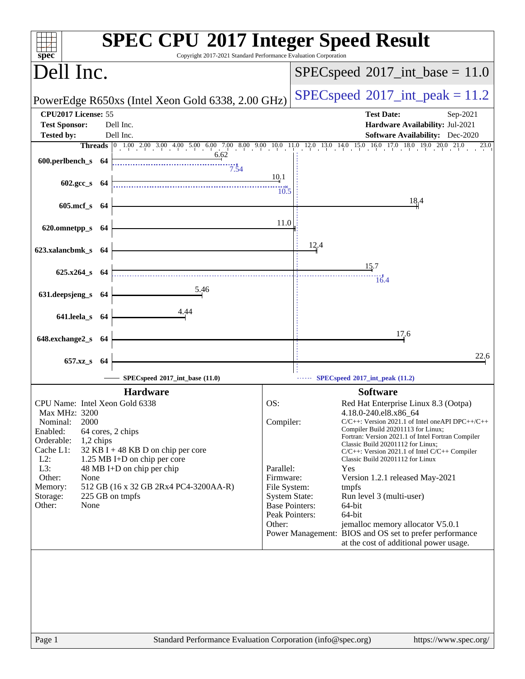| spec <sup>®</sup>                                                                                                                                                                                     | <b>SPEC CPU®2017 Integer Speed Result</b><br>Copyright 2017-2021 Standard Performance Evaluation Corporation                                                                      |                                                                                                                                         |                                                                                                                                                                                                                                                                                                                                                                                                                                                                                                                                                                                            |
|-------------------------------------------------------------------------------------------------------------------------------------------------------------------------------------------------------|-----------------------------------------------------------------------------------------------------------------------------------------------------------------------------------|-----------------------------------------------------------------------------------------------------------------------------------------|--------------------------------------------------------------------------------------------------------------------------------------------------------------------------------------------------------------------------------------------------------------------------------------------------------------------------------------------------------------------------------------------------------------------------------------------------------------------------------------------------------------------------------------------------------------------------------------------|
| Dell Inc.                                                                                                                                                                                             |                                                                                                                                                                                   |                                                                                                                                         | $SPEC speed^{\circ}2017\_int\_base = 11.0$                                                                                                                                                                                                                                                                                                                                                                                                                                                                                                                                                 |
|                                                                                                                                                                                                       | PowerEdge R650xs (Intel Xeon Gold 6338, 2.00 GHz)                                                                                                                                 |                                                                                                                                         | $SPEC speed^{\circ}2017\_int\_peak = 11.2$                                                                                                                                                                                                                                                                                                                                                                                                                                                                                                                                                 |
| CPU2017 License: 55<br><b>Test Sponsor:</b>                                                                                                                                                           | Dell Inc.                                                                                                                                                                         |                                                                                                                                         | <b>Test Date:</b><br>Sep-2021<br>Hardware Availability: Jul-2021                                                                                                                                                                                                                                                                                                                                                                                                                                                                                                                           |
| <b>Tested by:</b>                                                                                                                                                                                     | Dell Inc.                                                                                                                                                                         |                                                                                                                                         | <b>Software Availability:</b> Dec-2020                                                                                                                                                                                                                                                                                                                                                                                                                                                                                                                                                     |
|                                                                                                                                                                                                       |                                                                                                                                                                                   |                                                                                                                                         | <b>Threads</b> 0 1.00 2.00 3.00 4.00 5.00 6.00 7.00 8.00 9.00 10.0 11.0 12.0 13.0 14.0 15.0 16.0 17.0 18.0 19.0 20.0 21.0<br>23.0                                                                                                                                                                                                                                                                                                                                                                                                                                                          |
| 600.perlbench_s 64                                                                                                                                                                                    | 6.62<br>7.54                                                                                                                                                                      |                                                                                                                                         |                                                                                                                                                                                                                                                                                                                                                                                                                                                                                                                                                                                            |
| $602.\text{gcc s}$ 64                                                                                                                                                                                 |                                                                                                                                                                                   | 10.1<br>10.5                                                                                                                            |                                                                                                                                                                                                                                                                                                                                                                                                                                                                                                                                                                                            |
| 605.mcf_s 64                                                                                                                                                                                          |                                                                                                                                                                                   |                                                                                                                                         | 18,4                                                                                                                                                                                                                                                                                                                                                                                                                                                                                                                                                                                       |
| 620.omnetpp_s 64                                                                                                                                                                                      |                                                                                                                                                                                   | 11.0                                                                                                                                    |                                                                                                                                                                                                                                                                                                                                                                                                                                                                                                                                                                                            |
| 623.xalancbmk_s 64                                                                                                                                                                                    |                                                                                                                                                                                   |                                                                                                                                         | 12.4                                                                                                                                                                                                                                                                                                                                                                                                                                                                                                                                                                                       |
| 625.x264_s 64                                                                                                                                                                                         |                                                                                                                                                                                   |                                                                                                                                         | 15.7<br>16.4                                                                                                                                                                                                                                                                                                                                                                                                                                                                                                                                                                               |
| 631.deepsjeng_s 64                                                                                                                                                                                    | 5.46                                                                                                                                                                              |                                                                                                                                         |                                                                                                                                                                                                                                                                                                                                                                                                                                                                                                                                                                                            |
| 641.leela_s 64                                                                                                                                                                                        | 4.44                                                                                                                                                                              |                                                                                                                                         |                                                                                                                                                                                                                                                                                                                                                                                                                                                                                                                                                                                            |
| 648.exchange2_s 64                                                                                                                                                                                    |                                                                                                                                                                                   |                                                                                                                                         | 17.6                                                                                                                                                                                                                                                                                                                                                                                                                                                                                                                                                                                       |
| 657.xz_s 64                                                                                                                                                                                           |                                                                                                                                                                                   |                                                                                                                                         | 22.6                                                                                                                                                                                                                                                                                                                                                                                                                                                                                                                                                                                       |
|                                                                                                                                                                                                       | SPECspeed®2017_int_base (11.0)                                                                                                                                                    |                                                                                                                                         | SPECspeed®2017_int_peak (11.2)                                                                                                                                                                                                                                                                                                                                                                                                                                                                                                                                                             |
|                                                                                                                                                                                                       | <b>Hardware</b>                                                                                                                                                                   |                                                                                                                                         | <b>Software</b>                                                                                                                                                                                                                                                                                                                                                                                                                                                                                                                                                                            |
| CPU Name: Intel Xeon Gold 6338<br>Max MHz: 3200<br>Nominal:<br>2000<br>Enabled:<br>Orderable:<br>$1,2$ chips<br>Cache L1:<br>$L2$ :<br>L3:<br>Other:<br>None<br>Memory:<br>Storage:<br>Other:<br>None | 64 cores, 2 chips<br>32 KB I + 48 KB D on chip per core<br>1.25 MB I+D on chip per core<br>48 MB I+D on chip per chip<br>512 GB (16 x 32 GB 2Rx4 PC4-3200AA-R)<br>225 GB on tmpfs | OS:<br>Compiler:<br>Parallel:<br>Firmware:<br>File System:<br><b>System State:</b><br><b>Base Pointers:</b><br>Peak Pointers:<br>Other: | Red Hat Enterprise Linux 8.3 (Ootpa)<br>4.18.0-240.el8.x86_64<br>$C/C++$ : Version 2021.1 of Intel one API DPC++/C++<br>Compiler Build 20201113 for Linux;<br>Fortran: Version 2021.1 of Intel Fortran Compiler<br>Classic Build 20201112 for Linux;<br>$C/C++$ : Version 2021.1 of Intel $C/C++$ Compiler<br>Classic Build 20201112 for Linux<br>Yes<br>Version 1.2.1 released May-2021<br>tmpfs<br>Run level 3 (multi-user)<br>64-bit<br>64-bit<br>jemalloc memory allocator V5.0.1<br>Power Management: BIOS and OS set to prefer performance<br>at the cost of additional power usage. |
| Page 1                                                                                                                                                                                                | Standard Performance Evaluation Corporation (info@spec.org)                                                                                                                       |                                                                                                                                         | https://www.spec.org/                                                                                                                                                                                                                                                                                                                                                                                                                                                                                                                                                                      |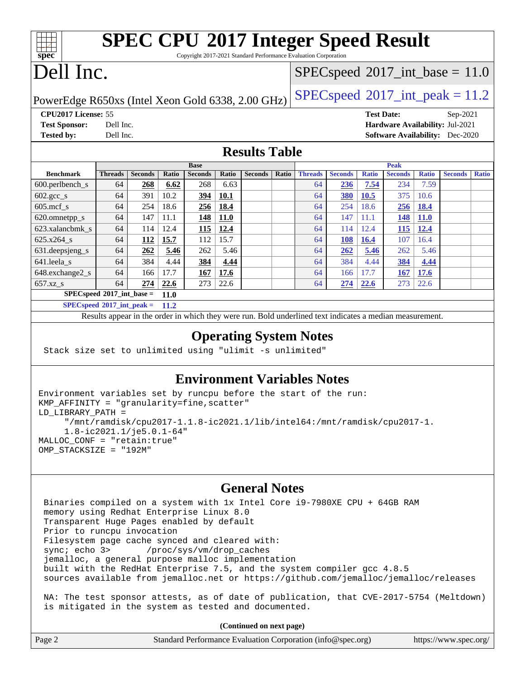|                                                                                                                                                                                                                                                                                                               | <b>SPEC CPU®2017 Integer Speed Result</b> |
|---------------------------------------------------------------------------------------------------------------------------------------------------------------------------------------------------------------------------------------------------------------------------------------------------------------|-------------------------------------------|
| $C_{\text{c}}$ and the 2017 2021 $C_{\text{c}}$ and $D_{\text{c}}$ $C_{\text{c}}$ and $D_{\text{c}}$ $C_{\text{c}}$ and $C_{\text{c}}$ and $C_{\text{c}}$ and $C_{\text{c}}$ and $C_{\text{c}}$ and $C_{\text{c}}$ and $C_{\text{c}}$ and $C_{\text{c}}$ and $C_{\text{c}}$ and $C_{\text{c}}$ and $C_{\text$ |                                           |

Copyright 2017-2021 Standard Performance Evaluation Corporation

# Dell Inc.

**[spec](http://www.spec.org/)**

### $SPECspeed*2017\_int\_base = 11.0$  $SPECspeed*2017\_int\_base = 11.0$

PowerEdge R650xs (Intel Xeon Gold 6338, 2.00 GHz)  $\left|$  [SPECspeed](http://www.spec.org/auto/cpu2017/Docs/result-fields.html#SPECspeed2017intpeak)®[2017\\_int\\_peak = 1](http://www.spec.org/auto/cpu2017/Docs/result-fields.html#SPECspeed2017intpeak)1.2

**[CPU2017 License:](http://www.spec.org/auto/cpu2017/Docs/result-fields.html#CPU2017License)** 55 **[Test Date:](http://www.spec.org/auto/cpu2017/Docs/result-fields.html#TestDate)** Sep-2021 **[Test Sponsor:](http://www.spec.org/auto/cpu2017/Docs/result-fields.html#TestSponsor)** Dell Inc. **[Hardware Availability:](http://www.spec.org/auto/cpu2017/Docs/result-fields.html#HardwareAvailability)** Jul-2021 **[Tested by:](http://www.spec.org/auto/cpu2017/Docs/result-fields.html#Testedby)** Dell Inc. **[Software Availability:](http://www.spec.org/auto/cpu2017/Docs/result-fields.html#SoftwareAvailability)** Dec-2020

### **[Results Table](http://www.spec.org/auto/cpu2017/Docs/result-fields.html#ResultsTable)**

|                                       |                |                |             | <b>Base</b>    |             |                |       | <b>Peak</b>    |                |              |                |              |                |              |
|---------------------------------------|----------------|----------------|-------------|----------------|-------------|----------------|-------|----------------|----------------|--------------|----------------|--------------|----------------|--------------|
| <b>Benchmark</b>                      | <b>Threads</b> | <b>Seconds</b> | Ratio       | <b>Seconds</b> | Ratio       | <b>Seconds</b> | Ratio | <b>Threads</b> | <b>Seconds</b> | <b>Ratio</b> | <b>Seconds</b> | <b>Ratio</b> | <b>Seconds</b> | <b>Ratio</b> |
| $600.$ perlbench $_s$                 | 64             | 268            | 6.62        | 268            | 6.63        |                |       | 64             | 236            | 7.54         | 234            | 7.59         |                |              |
| $602 \text{.} \text{gcc}\text{.}$ s   | 64             | 391            | 10.2        | 394            | 10.1        |                |       | 64             | 380            | 10.5         | 375            | 10.6         |                |              |
| $605$ .mcf s                          | 64             | 254            | 18.6        | 256            | 18.4        |                |       | 64             | 254            | 18.6         | 256            | 18.4         |                |              |
| 620.omnetpp_s                         | 64             | 147            | 11.1        | 148            | <b>11.0</b> |                |       | 64             | 147            | 11.1         | <u> 148</u>    | <b>11.0</b>  |                |              |
| 623.xalancbmk s                       | 64             | 114            | 12.4        | <b>115</b>     | 12.4        |                |       | 64             | 114            | 12.4         | 115            | 12.4         |                |              |
| 625.x264 s                            | 64             | 112            | 15.7        | 112            | 15.7        |                |       | 64             | 108            | 16.4         | 107            | 16.4         |                |              |
| $631.$ deepsjeng $s$                  | 64             | 262            | 5.46        | 262            | 5.46        |                |       | 64             | 262            | 5.46         | 262            | 5.46         |                |              |
| 641.leela s                           | 64             | 384            | 4.44        | 384            | 4.44        |                |       | 64             | 384            | 4.44         | 384            | 4.44         |                |              |
| 648.exchange2_s                       | 64             | 166            | 17.7        | 167            | 17.6        |                |       | 64             | 166            | 17.7         | <b>167</b>     | 17.6         |                |              |
| $657.xz$ <sub>S</sub>                 | 64             | 274            | 22.6        | 273            | 22.6        |                |       | 64             | 274            | 22.6         | 273            | 22.6         |                |              |
| $SPEC speed^{\circ}2017\_int\_base =$ |                |                | <b>11.0</b> |                |             |                |       |                |                |              |                |              |                |              |
| $SPEC speed^*2017\_int\_peak =$       |                |                | <b>11.2</b> |                |             |                |       |                |                |              |                |              |                |              |

Results appear in the [order in which they were run.](http://www.spec.org/auto/cpu2017/Docs/result-fields.html#RunOrder) Bold underlined text [indicates a median measurement.](http://www.spec.org/auto/cpu2017/Docs/result-fields.html#Median)

#### **[Operating System Notes](http://www.spec.org/auto/cpu2017/Docs/result-fields.html#OperatingSystemNotes)**

Stack size set to unlimited using "ulimit -s unlimited"

is mitigated in the system as tested and documented.

### **[Environment Variables Notes](http://www.spec.org/auto/cpu2017/Docs/result-fields.html#EnvironmentVariablesNotes)**

```
Environment variables set by runcpu before the start of the run:
KMP_AFFINITY = "granularity=fine,scatter"
LD_LIBRARY_PATH =
      "/mnt/ramdisk/cpu2017-1.1.8-ic2021.1/lib/intel64:/mnt/ramdisk/cpu2017-1.
      1.8-ic2021.1/je5.0.1-64"
MALLOC_CONF = "retain:true"
OMP_STACKSIZE = "192M"
```
#### **[General Notes](http://www.spec.org/auto/cpu2017/Docs/result-fields.html#GeneralNotes)**

 Binaries compiled on a system with 1x Intel Core i9-7980XE CPU + 64GB RAM memory using Redhat Enterprise Linux 8.0 Transparent Huge Pages enabled by default Prior to runcpu invocation Filesystem page cache synced and cleared with: sync; echo 3> /proc/sys/vm/drop\_caches jemalloc, a general purpose malloc implementation built with the RedHat Enterprise 7.5, and the system compiler gcc 4.8.5 sources available from jemalloc.net or <https://github.com/jemalloc/jemalloc/releases> NA: The test sponsor attests, as of date of publication, that CVE-2017-5754 (Meltdown)

**(Continued on next page)**

| Page 2 | Standard Performance Evaluation Corporation (info@spec.org) | https://www.spec.org/ |
|--------|-------------------------------------------------------------|-----------------------|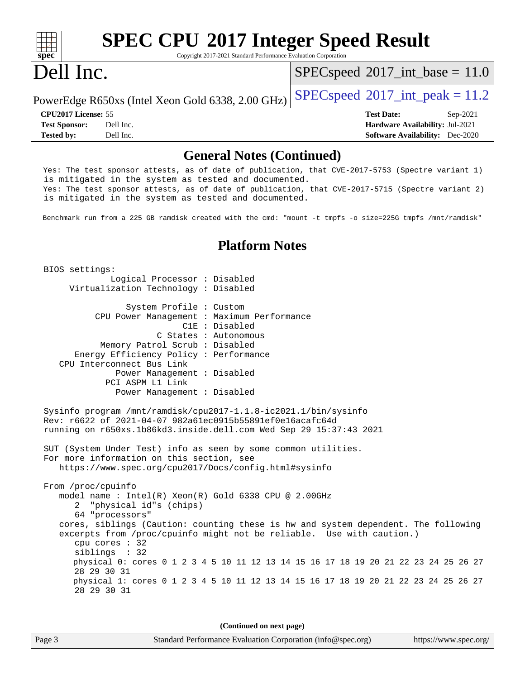#### **[spec](http://www.spec.org/) [SPEC CPU](http://www.spec.org/auto/cpu2017/Docs/result-fields.html#SPECCPU2017IntegerSpeedResult)[2017 Integer Speed Result](http://www.spec.org/auto/cpu2017/Docs/result-fields.html#SPECCPU2017IntegerSpeedResult)** Copyright 2017-2021 Standard Performance Evaluation Corporation Dell Inc. PowerEdge R650xs (Intel Xeon Gold 6338, 2.00 GHz)  $\left|$  [SPECspeed](http://www.spec.org/auto/cpu2017/Docs/result-fields.html#SPECspeed2017intpeak)®[2017\\_int\\_peak = 1](http://www.spec.org/auto/cpu2017/Docs/result-fields.html#SPECspeed2017intpeak)1.2  $SPECspeed^{\circ}2017\_int\_base = 11.0$  $SPECspeed^{\circ}2017\_int\_base = 11.0$ **[CPU2017 License:](http://www.spec.org/auto/cpu2017/Docs/result-fields.html#CPU2017License)** 55 **[Test Date:](http://www.spec.org/auto/cpu2017/Docs/result-fields.html#TestDate)** Sep-2021 **[Test Sponsor:](http://www.spec.org/auto/cpu2017/Docs/result-fields.html#TestSponsor)** Dell Inc. **[Hardware Availability:](http://www.spec.org/auto/cpu2017/Docs/result-fields.html#HardwareAvailability)** Jul-2021 **[Tested by:](http://www.spec.org/auto/cpu2017/Docs/result-fields.html#Testedby)** Dell Inc. **[Software Availability:](http://www.spec.org/auto/cpu2017/Docs/result-fields.html#SoftwareAvailability)** Dec-2020 **[General Notes \(Continued\)](http://www.spec.org/auto/cpu2017/Docs/result-fields.html#GeneralNotes)** Yes: The test sponsor attests, as of date of publication, that CVE-2017-5753 (Spectre variant 1) is mitigated in the system as tested and documented. Yes: The test sponsor attests, as of date of publication, that CVE-2017-5715 (Spectre variant 2) is mitigated in the system as tested and documented. Benchmark run from a 225 GB ramdisk created with the cmd: "mount -t tmpfs -o size=225G tmpfs /mnt/ramdisk" **[Platform Notes](http://www.spec.org/auto/cpu2017/Docs/result-fields.html#PlatformNotes)** BIOS settings: Logical Processor : Disabled Virtualization Technology : Disabled System Profile : Custom CPU Power Management : Maximum Performance C1E : Disabled C States : Autonomous Memory Patrol Scrub : Disabled Energy Efficiency Policy : Performance CPU Interconnect Bus Link Power Management : Disabled PCI ASPM L1 Link Power Management : Disabled Sysinfo program /mnt/ramdisk/cpu2017-1.1.8-ic2021.1/bin/sysinfo Rev: r6622 of 2021-04-07 982a61ec0915b55891ef0e16acafc64d running on r650xs.1b86kd3.inside.dell.com Wed Sep 29 15:37:43 2021 SUT (System Under Test) info as seen by some common utilities. For more information on this section, see <https://www.spec.org/cpu2017/Docs/config.html#sysinfo> From /proc/cpuinfo model name : Intel(R) Xeon(R) Gold 6338 CPU @ 2.00GHz 2 "physical id"s (chips) 64 "processors" cores, siblings (Caution: counting these is hw and system dependent. The following excerpts from /proc/cpuinfo might not be reliable. Use with caution.) cpu cores : 32 siblings : 32 physical 0: cores 0 1 2 3 4 5 10 11 12 13 14 15 16 17 18 19 20 21 22 23 24 25 26 27 28 29 30 31 physical 1: cores 0 1 2 3 4 5 10 11 12 13 14 15 16 17 18 19 20 21 22 23 24 25 26 27 28 29 30 31

**(Continued on next page)**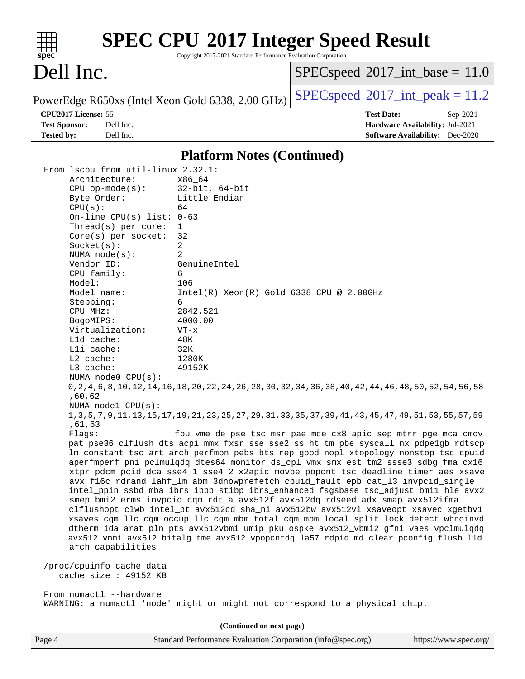| $spec^*$                                                                                                                                                                                                                                                                                                                                                                                                                                                                                                                                                                                                                                                                                                                                                                                                                                                                                                                                                                                                                                                                                                                                                                                                                                                                                                                                                                                                                                                                                                                                                                                                                                                                                                                                                                                 | Copyright 2017-2021 Standard Performance Evaluation Corporation                                                                                                                                                     | <b>SPEC CPU®2017 Integer Speed Result</b>                     |                                                                                       |
|------------------------------------------------------------------------------------------------------------------------------------------------------------------------------------------------------------------------------------------------------------------------------------------------------------------------------------------------------------------------------------------------------------------------------------------------------------------------------------------------------------------------------------------------------------------------------------------------------------------------------------------------------------------------------------------------------------------------------------------------------------------------------------------------------------------------------------------------------------------------------------------------------------------------------------------------------------------------------------------------------------------------------------------------------------------------------------------------------------------------------------------------------------------------------------------------------------------------------------------------------------------------------------------------------------------------------------------------------------------------------------------------------------------------------------------------------------------------------------------------------------------------------------------------------------------------------------------------------------------------------------------------------------------------------------------------------------------------------------------------------------------------------------------|---------------------------------------------------------------------------------------------------------------------------------------------------------------------------------------------------------------------|---------------------------------------------------------------|---------------------------------------------------------------------------------------|
| Dell Inc.                                                                                                                                                                                                                                                                                                                                                                                                                                                                                                                                                                                                                                                                                                                                                                                                                                                                                                                                                                                                                                                                                                                                                                                                                                                                                                                                                                                                                                                                                                                                                                                                                                                                                                                                                                                |                                                                                                                                                                                                                     | $SPEC speed^{\circ}2017\_int\_base = 11.0$                    |                                                                                       |
| PowerEdge R650xs (Intel Xeon Gold 6338, 2.00 GHz)                                                                                                                                                                                                                                                                                                                                                                                                                                                                                                                                                                                                                                                                                                                                                                                                                                                                                                                                                                                                                                                                                                                                                                                                                                                                                                                                                                                                                                                                                                                                                                                                                                                                                                                                        |                                                                                                                                                                                                                     | $SPEC speed^{\circ}2017\_int\_peak = 11.2$                    |                                                                                       |
| CPU2017 License: 55<br><b>Test Sponsor:</b><br>Dell Inc.<br><b>Tested by:</b><br>Dell Inc.                                                                                                                                                                                                                                                                                                                                                                                                                                                                                                                                                                                                                                                                                                                                                                                                                                                                                                                                                                                                                                                                                                                                                                                                                                                                                                                                                                                                                                                                                                                                                                                                                                                                                               |                                                                                                                                                                                                                     | <b>Test Date:</b>                                             | Sep-2021<br>Hardware Availability: Jul-2021<br><b>Software Availability:</b> Dec-2020 |
|                                                                                                                                                                                                                                                                                                                                                                                                                                                                                                                                                                                                                                                                                                                                                                                                                                                                                                                                                                                                                                                                                                                                                                                                                                                                                                                                                                                                                                                                                                                                                                                                                                                                                                                                                                                          | <b>Platform Notes (Continued)</b>                                                                                                                                                                                   |                                                               |                                                                                       |
| From lscpu from util-linux 2.32.1:<br>Architecture:<br>$CPU$ op-mode( $s$ ):<br>Byte Order:<br>CPU(s):<br>On-line CPU(s) list: $0-63$<br>Thread(s) per core:<br>$Core(s)$ per socket:<br>Socket(s):<br>NUMA $node(s)$ :<br>Vendor ID:<br>CPU family:<br>6<br>Model:<br>Model name:<br>Stepping:<br>6<br>CPU MHz:<br>BogoMIPS:<br>Virtualization:<br>L1d cache:<br>Lli cache:<br>L2 cache:<br>L3 cache:<br>NUMA $node0$ $CPU(s)$ :<br>0, 2, 4, 6, 8, 10, 12, 14, 16, 18, 20, 22, 24, 26, 28, 30, 32, 34, 36, 38, 40, 42, 44, 46, 48, 50, 52, 54, 56, 58<br>,60,62<br>NUMA nodel CPU(s):<br>1, 3, 5, 7, 9, 11, 13, 15, 17, 19, 21, 23, 25, 27, 29, 31, 33, 35, 37, 39, 41, 43, 45, 47, 49, 51, 53, 55, 57, 59<br>,61,63<br>Flags:<br>pat pse36 clflush dts acpi mmx fxsr sse sse2 ss ht tm pbe syscall nx pdpe1gb rdtscp<br>lm constant_tsc art arch_perfmon pebs bts rep_good nopl xtopology nonstop_tsc cpuid<br>aperfmperf pni pclmulqdq dtes64 monitor ds_cpl vmx smx est tm2 ssse3 sdbg fma cx16<br>xtpr pdcm pcid dca sse4_1 sse4_2 x2apic movbe popcnt tsc_deadline_timer aes xsave<br>avx f16c rdrand lahf_lm abm 3dnowprefetch cpuid_fault epb cat_13 invpcid_single<br>intel_ppin ssbd mba ibrs ibpb stibp ibrs_enhanced fsgsbase tsc_adjust bmil hle avx2<br>smep bmi2 erms invpcid cqm rdt_a avx512f avx512dq rdseed adx smap avx512ifma<br>clflushopt clwb intel_pt avx512cd sha_ni avx512bw avx512vl xsaveopt xsavec xgetbvl<br>xsaves cqm_llc cqm_occup_llc cqm_mbm_total cqm_mbm_local split_lock_detect wbnoinvd<br>dtherm ida arat pln pts avx512vbmi umip pku ospke avx512_vbmi2 gfni vaes vpclmulqdq<br>avx512_vnni avx512_bitalg tme avx512_vpopcntdq la57 rdpid md_clear pconfig flush_11d<br>arch_capabilities<br>/proc/cpuinfo cache data<br>cache size : 49152 KB | x86_64<br>$32$ -bit, $64$ -bit<br>Little Endian<br>64<br>1<br>32<br>2<br>2<br>GenuineIntel<br>106<br>$Intel(R) Xeon(R) Gold 6338 CPU @ 2.00GHz$<br>2842.521<br>4000.00<br>$VT - x$<br>48K<br>32K<br>1280K<br>49152K | fpu vme de pse tsc msr pae mce cx8 apic sep mtrr pge mca cmov |                                                                                       |
| From numactl --hardware<br>WARNING: a numactl 'node' might or might not correspond to a physical chip.                                                                                                                                                                                                                                                                                                                                                                                                                                                                                                                                                                                                                                                                                                                                                                                                                                                                                                                                                                                                                                                                                                                                                                                                                                                                                                                                                                                                                                                                                                                                                                                                                                                                                   |                                                                                                                                                                                                                     |                                                               |                                                                                       |
|                                                                                                                                                                                                                                                                                                                                                                                                                                                                                                                                                                                                                                                                                                                                                                                                                                                                                                                                                                                                                                                                                                                                                                                                                                                                                                                                                                                                                                                                                                                                                                                                                                                                                                                                                                                          | (Continued on next page)                                                                                                                                                                                            |                                                               |                                                                                       |
| Page 4                                                                                                                                                                                                                                                                                                                                                                                                                                                                                                                                                                                                                                                                                                                                                                                                                                                                                                                                                                                                                                                                                                                                                                                                                                                                                                                                                                                                                                                                                                                                                                                                                                                                                                                                                                                   | Standard Performance Evaluation Corporation (info@spec.org)                                                                                                                                                         |                                                               | https://www.spec.org/                                                                 |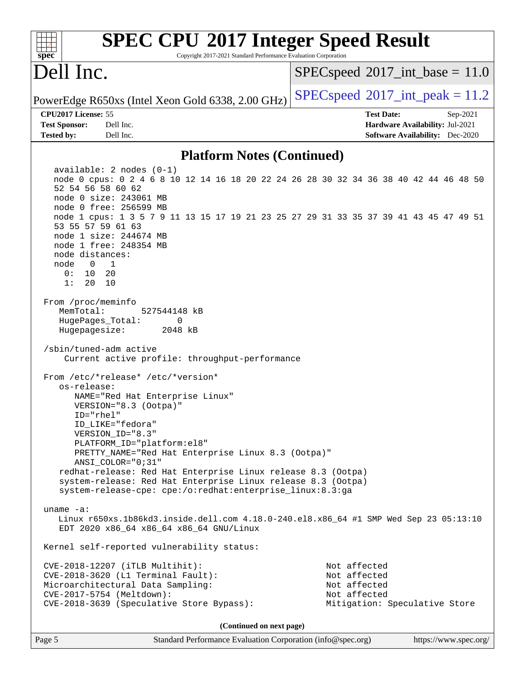| <b>SPEC CPU®2017 Integer Speed Result</b><br>spec<br>Copyright 2017-2021 Standard Performance Evaluation Corporation                                                                                                                                                                                                                                                                                                                                                           |                                                                                                            |
|--------------------------------------------------------------------------------------------------------------------------------------------------------------------------------------------------------------------------------------------------------------------------------------------------------------------------------------------------------------------------------------------------------------------------------------------------------------------------------|------------------------------------------------------------------------------------------------------------|
| Dell Inc.                                                                                                                                                                                                                                                                                                                                                                                                                                                                      | $SPEC speed^{\circ}2017\_int\_base = 11.0$                                                                 |
| PowerEdge R650xs (Intel Xeon Gold 6338, 2.00 GHz)                                                                                                                                                                                                                                                                                                                                                                                                                              | $SPEC speed^{\circ}2017\_int\_peak = 11.2$                                                                 |
| CPU2017 License: 55<br><b>Test Sponsor:</b><br>Dell Inc.<br><b>Tested by:</b><br>Dell Inc.                                                                                                                                                                                                                                                                                                                                                                                     | <b>Test Date:</b><br>Sep-2021<br>Hardware Availability: Jul-2021<br><b>Software Availability:</b> Dec-2020 |
| <b>Platform Notes (Continued)</b>                                                                                                                                                                                                                                                                                                                                                                                                                                              |                                                                                                            |
| $available: 2 nodes (0-1)$<br>node 0 cpus: 0 2 4 6 8 10 12 14 16 18 20 22 24 26 28 30 32 34 36 38 40 42 44 46 48 50<br>52 54 56 58 60 62<br>node 0 size: 243061 MB<br>node 0 free: 256599 MB<br>node 1 cpus: 1 3 5 7 9 11 13 15 17 19 21 23 25 27 29 31 33 35 37 39 41 43 45 47 49 51<br>53 55 57 59 61 63<br>node 1 size: 244674 MB<br>node 1 free: 248354 MB<br>node distances:<br>node<br>$\overline{0}$<br>1<br>0:<br>10<br>20<br>1:<br>20<br>10                           |                                                                                                            |
| From /proc/meminfo<br>MemTotal:<br>527544148 kB<br>HugePages_Total:<br>0<br>Hugepagesize:<br>2048 kB<br>/sbin/tuned-adm active<br>Current active profile: throughput-performance                                                                                                                                                                                                                                                                                               |                                                                                                            |
| From /etc/*release* /etc/*version*<br>os-release:<br>NAME="Red Hat Enterprise Linux"<br>VERSION="8.3 (Ootpa)"<br>ID="rhel"<br>ID_LIKE="fedora"<br>VERSION ID="8.3"<br>PLATFORM_ID="platform:el8"<br>PRETTY_NAME="Red Hat Enterprise Linux 8.3 (Ootpa)"<br>$ANSI\_COLOR = "0; 31"$<br>redhat-release: Red Hat Enterprise Linux release 8.3 (Ootpa)<br>system-release: Red Hat Enterprise Linux release 8.3 (Ootpa)<br>system-release-cpe: cpe:/o:redhat:enterprise_linux:8.3:ga |                                                                                                            |
| uname $-a$ :<br>Linux r650xs.1b86kd3.inside.dell.com 4.18.0-240.el8.x86_64 #1 SMP Wed Sep 23 05:13:10<br>EDT 2020 x86_64 x86_64 x86_64 GNU/Linux                                                                                                                                                                                                                                                                                                                               |                                                                                                            |
| Kernel self-reported vulnerability status:                                                                                                                                                                                                                                                                                                                                                                                                                                     |                                                                                                            |
| CVE-2018-12207 (iTLB Multihit):<br>$CVE-2018-3620$ (L1 Terminal Fault):<br>Microarchitectural Data Sampling:<br>CVE-2017-5754 (Meltdown):<br>CVE-2018-3639 (Speculative Store Bypass):                                                                                                                                                                                                                                                                                         | Not affected<br>Not affected<br>Not affected<br>Not affected<br>Mitigation: Speculative Store              |
| (Continued on next page)                                                                                                                                                                                                                                                                                                                                                                                                                                                       |                                                                                                            |

Page 5 Standard Performance Evaluation Corporation [\(info@spec.org\)](mailto:info@spec.org) <https://www.spec.org/>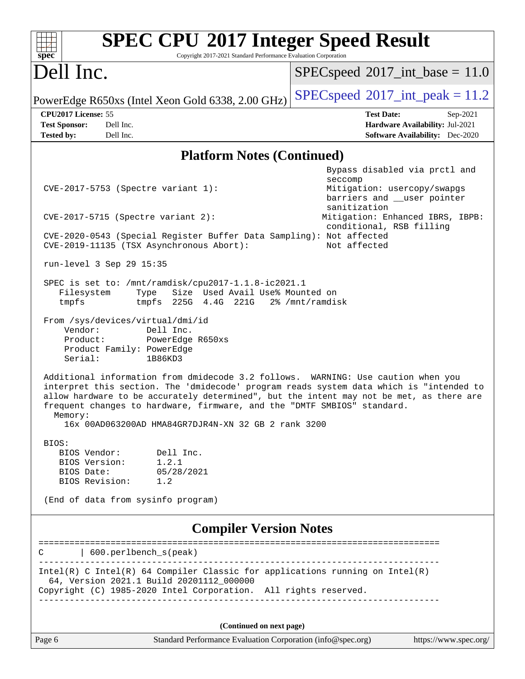| <b>SPEC CPU®2017 Integer Speed Result</b><br>Copyright 2017-2021 Standard Performance Evaluation Corporation<br>$spec^*$                                                                                                                                                                                                                                                                                             |                                                                                                            |
|----------------------------------------------------------------------------------------------------------------------------------------------------------------------------------------------------------------------------------------------------------------------------------------------------------------------------------------------------------------------------------------------------------------------|------------------------------------------------------------------------------------------------------------|
| Dell Inc.                                                                                                                                                                                                                                                                                                                                                                                                            | $SPEC speed^{\circ}2017\_int\_base = 11.0$                                                                 |
| PowerEdge R650xs (Intel Xeon Gold 6338, 2.00 GHz)                                                                                                                                                                                                                                                                                                                                                                    | $SPEC speed^{\circ}2017\_int\_peak = 11.2$                                                                 |
| CPU2017 License: 55<br>Dell Inc.<br><b>Test Sponsor:</b><br>Dell Inc.<br><b>Tested by:</b>                                                                                                                                                                                                                                                                                                                           | <b>Test Date:</b><br>Sep-2021<br>Hardware Availability: Jul-2021<br><b>Software Availability:</b> Dec-2020 |
| <b>Platform Notes (Continued)</b>                                                                                                                                                                                                                                                                                                                                                                                    |                                                                                                            |
| CVE-2017-5753 (Spectre variant 1):                                                                                                                                                                                                                                                                                                                                                                                   | Bypass disabled via prctl and<br>seccomp<br>Mitigation: usercopy/swapgs<br>barriers and __user pointer     |
| $CVE-2017-5715$ (Spectre variant 2):                                                                                                                                                                                                                                                                                                                                                                                 | sanitization<br>Mitigation: Enhanced IBRS, IBPB:<br>conditional, RSB filling                               |
| CVE-2020-0543 (Special Register Buffer Data Sampling): Not affected<br>CVE-2019-11135 (TSX Asynchronous Abort):                                                                                                                                                                                                                                                                                                      | Not affected                                                                                               |
| run-level 3 Sep 29 15:35                                                                                                                                                                                                                                                                                                                                                                                             |                                                                                                            |
| SPEC is set to: /mnt/ramdisk/cpu2017-1.1.8-ic2021.1<br>Size Used Avail Use% Mounted on<br>Filesystem<br>Type<br>tmpfs<br>225G 4.4G 221G<br>tmpfs                                                                                                                                                                                                                                                                     | 2% /mnt/ramdisk                                                                                            |
| From /sys/devices/virtual/dmi/id<br>Vendor:<br>Dell Inc.<br>Product:<br>PowerEdge R650xs<br>Product Family: PowerEdge<br>Serial:<br>1B86KD3                                                                                                                                                                                                                                                                          |                                                                                                            |
| Additional information from dmidecode 3.2 follows. WARNING: Use caution when you<br>interpret this section. The 'dmidecode' program reads system data which is "intended to<br>allow hardware to be accurately determined", but the intent may not be met, as there are<br>frequent changes to hardware, firmware, and the "DMTF SMBIOS" standard.<br>Memory:<br>16x 00AD063200AD HMA84GR7DJR4N-XN 32 GB 2 rank 3200 |                                                                                                            |
| BIOS:<br>BIOS Vendor:<br>Dell Inc.<br>BIOS Version: 1.2.1<br>BIOS Date:<br>05/28/2021<br>BIOS Revision: 1.2                                                                                                                                                                                                                                                                                                          |                                                                                                            |
| (End of data from sysinfo program)                                                                                                                                                                                                                                                                                                                                                                                   |                                                                                                            |
| <b>Compiler Version Notes</b>                                                                                                                                                                                                                                                                                                                                                                                        |                                                                                                            |
| 600.perlbench_s(peak)<br>С                                                                                                                                                                                                                                                                                                                                                                                           |                                                                                                            |
| Intel(R) C Intel(R) 64 Compiler Classic for applications running on $Intel(R)$<br>64, Version 2021.1 Build 20201112_000000<br>Copyright (C) 1985-2020 Intel Corporation. All rights reserved.                                                                                                                                                                                                                        |                                                                                                            |
| (Continued on next page)                                                                                                                                                                                                                                                                                                                                                                                             |                                                                                                            |
| Page 6<br>Standard Performance Evaluation Corporation (info@spec.org)                                                                                                                                                                                                                                                                                                                                                | https://www.spec.org/                                                                                      |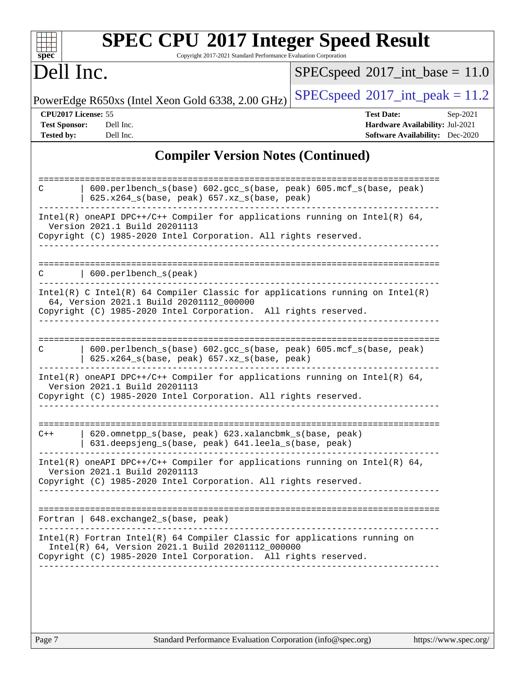|                                                                  | Dell Inc.                                                                                                                                                                                     | $SPEC speed^{\circ}2017\_int\_base = 11.0$                                                                 |
|------------------------------------------------------------------|-----------------------------------------------------------------------------------------------------------------------------------------------------------------------------------------------|------------------------------------------------------------------------------------------------------------|
|                                                                  | PowerEdge R650xs (Intel Xeon Gold 6338, 2.00 GHz)                                                                                                                                             | $SPEC speed^{\circ}2017\_int\_peak = 11.2$                                                                 |
| CPU2017 License: 55<br><b>Test Sponsor:</b><br><b>Tested by:</b> | Dell Inc.<br>Dell Inc.                                                                                                                                                                        | <b>Test Date:</b><br>Sep-2021<br>Hardware Availability: Jul-2021<br><b>Software Availability:</b> Dec-2020 |
|                                                                  | <b>Compiler Version Notes (Continued)</b>                                                                                                                                                     |                                                                                                            |
| C                                                                | 600.perlbench_s(base) 602.gcc_s(base, peak) 605.mcf_s(base, peak)<br>625.x264_s(base, peak) 657.xz_s(base, peak)                                                                              |                                                                                                            |
|                                                                  | Intel(R) oneAPI DPC++/C++ Compiler for applications running on Intel(R) 64,<br>Version 2021.1 Build 20201113<br>Copyright (C) 1985-2020 Intel Corporation. All rights reserved.               |                                                                                                            |
| C                                                                | 600.perlbench_s(peak)                                                                                                                                                                         |                                                                                                            |
|                                                                  | $Intel(R)$ C Intel(R) 64 Compiler Classic for applications running on Intel(R)<br>64, Version 2021.1 Build 20201112_000000<br>Copyright (C) 1985-2020 Intel Corporation. All rights reserved. |                                                                                                            |
| C                                                                | 600.perlbench_s(base) 602.gcc_s(base, peak) 605.mcf_s(base, peak)<br>625.x264_s(base, peak) 657.xz_s(base, peak)                                                                              |                                                                                                            |
|                                                                  | Intel(R) oneAPI DPC++/C++ Compiler for applications running on Intel(R) $64$ ,<br>Version 2021.1 Build 20201113<br>Copyright (C) 1985-2020 Intel Corporation. All rights reserved.            |                                                                                                            |
| $C++$                                                            | 620.omnetpp s(base, peak) 623.xalancbmk s(base, peak)<br>631.deepsjeng_s(base, peak) 641.leela_s(base, peak)                                                                                  |                                                                                                            |
|                                                                  | $Intel(R)$ oneAPI DPC++/C++ Compiler for applications running on Intel(R) 64,                                                                                                                 |                                                                                                            |
|                                                                  | Version 2021.1 Build 20201113<br>Copyright (C) 1985-2020 Intel Corporation. All rights reserved.                                                                                              |                                                                                                            |
|                                                                  | Fortran   648. exchange2_s(base, peak)                                                                                                                                                        |                                                                                                            |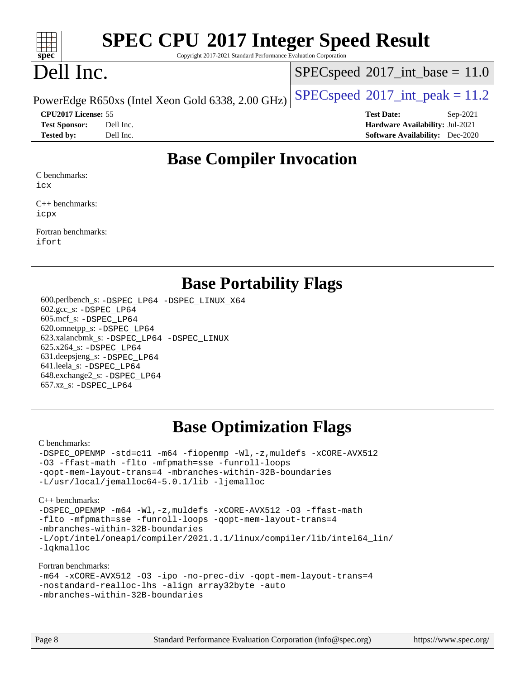#### $+\ +$ **[spec](http://www.spec.org/)**

# **[SPEC CPU](http://www.spec.org/auto/cpu2017/Docs/result-fields.html#SPECCPU2017IntegerSpeedResult)[2017 Integer Speed Result](http://www.spec.org/auto/cpu2017/Docs/result-fields.html#SPECCPU2017IntegerSpeedResult)**

Copyright 2017-2021 Standard Performance Evaluation Corporation

# Dell Inc.

 $SPECspeed^{\circ}2017\_int\_base = 11.0$  $SPECspeed^{\circ}2017\_int\_base = 11.0$ 

PowerEdge R650xs (Intel Xeon Gold 6338, 2.00 GHz)  $\left|$  [SPECspeed](http://www.spec.org/auto/cpu2017/Docs/result-fields.html#SPECspeed2017intpeak)®[2017\\_int\\_peak = 1](http://www.spec.org/auto/cpu2017/Docs/result-fields.html#SPECspeed2017intpeak)1.2

**[CPU2017 License:](http://www.spec.org/auto/cpu2017/Docs/result-fields.html#CPU2017License)** 55 **[Test Date:](http://www.spec.org/auto/cpu2017/Docs/result-fields.html#TestDate)** Sep-2021 **[Test Sponsor:](http://www.spec.org/auto/cpu2017/Docs/result-fields.html#TestSponsor)** Dell Inc. **[Hardware Availability:](http://www.spec.org/auto/cpu2017/Docs/result-fields.html#HardwareAvailability)** Jul-2021 **[Tested by:](http://www.spec.org/auto/cpu2017/Docs/result-fields.html#Testedby)** Dell Inc. **[Software Availability:](http://www.spec.org/auto/cpu2017/Docs/result-fields.html#SoftwareAvailability)** Dec-2020

### **[Base Compiler Invocation](http://www.spec.org/auto/cpu2017/Docs/result-fields.html#BaseCompilerInvocation)**

[C benchmarks:](http://www.spec.org/auto/cpu2017/Docs/result-fields.html#Cbenchmarks)

[icx](http://www.spec.org/cpu2017/results/res2021q4/cpu2017-20211025-29796.flags.html#user_CCbase_intel_icx_fe2d28d19ae2a5db7c42fe0f2a2aed77cb715edd4aeb23434404a8be6683fe239869bb6ca8154ca98265c2e3b9226a719a0efe2953a4a7018c379b7010ccf087)

[C++ benchmarks:](http://www.spec.org/auto/cpu2017/Docs/result-fields.html#CXXbenchmarks) [icpx](http://www.spec.org/cpu2017/results/res2021q4/cpu2017-20211025-29796.flags.html#user_CXXbase_intel_icpx_1e918ed14c436bf4b9b7c8bcdd51d4539fc71b3df010bd1e9f8732d9c34c2b2914e48204a846820f3c0ebb4095dea797a5c30b458ac0b6dffac65d78f781f5ca)

[Fortran benchmarks](http://www.spec.org/auto/cpu2017/Docs/result-fields.html#Fortranbenchmarks): [ifort](http://www.spec.org/cpu2017/results/res2021q4/cpu2017-20211025-29796.flags.html#user_FCbase_intel_ifort_8111460550e3ca792625aed983ce982f94888b8b503583aa7ba2b8303487b4d8a21a13e7191a45c5fd58ff318f48f9492884d4413fa793fd88dd292cad7027ca)

### **[Base Portability Flags](http://www.spec.org/auto/cpu2017/Docs/result-fields.html#BasePortabilityFlags)**

 600.perlbench\_s: [-DSPEC\\_LP64](http://www.spec.org/cpu2017/results/res2021q4/cpu2017-20211025-29796.flags.html#b600.perlbench_s_basePORTABILITY_DSPEC_LP64) [-DSPEC\\_LINUX\\_X64](http://www.spec.org/cpu2017/results/res2021q4/cpu2017-20211025-29796.flags.html#b600.perlbench_s_baseCPORTABILITY_DSPEC_LINUX_X64) 602.gcc\_s: [-DSPEC\\_LP64](http://www.spec.org/cpu2017/results/res2021q4/cpu2017-20211025-29796.flags.html#suite_basePORTABILITY602_gcc_s_DSPEC_LP64) 605.mcf\_s: [-DSPEC\\_LP64](http://www.spec.org/cpu2017/results/res2021q4/cpu2017-20211025-29796.flags.html#suite_basePORTABILITY605_mcf_s_DSPEC_LP64) 620.omnetpp\_s: [-DSPEC\\_LP64](http://www.spec.org/cpu2017/results/res2021q4/cpu2017-20211025-29796.flags.html#suite_basePORTABILITY620_omnetpp_s_DSPEC_LP64) 623.xalancbmk\_s: [-DSPEC\\_LP64](http://www.spec.org/cpu2017/results/res2021q4/cpu2017-20211025-29796.flags.html#suite_basePORTABILITY623_xalancbmk_s_DSPEC_LP64) [-DSPEC\\_LINUX](http://www.spec.org/cpu2017/results/res2021q4/cpu2017-20211025-29796.flags.html#b623.xalancbmk_s_baseCXXPORTABILITY_DSPEC_LINUX) 625.x264\_s: [-DSPEC\\_LP64](http://www.spec.org/cpu2017/results/res2021q4/cpu2017-20211025-29796.flags.html#suite_basePORTABILITY625_x264_s_DSPEC_LP64) 631.deepsjeng\_s: [-DSPEC\\_LP64](http://www.spec.org/cpu2017/results/res2021q4/cpu2017-20211025-29796.flags.html#suite_basePORTABILITY631_deepsjeng_s_DSPEC_LP64) 641.leela\_s: [-DSPEC\\_LP64](http://www.spec.org/cpu2017/results/res2021q4/cpu2017-20211025-29796.flags.html#suite_basePORTABILITY641_leela_s_DSPEC_LP64) 648.exchange2\_s: [-DSPEC\\_LP64](http://www.spec.org/cpu2017/results/res2021q4/cpu2017-20211025-29796.flags.html#suite_basePORTABILITY648_exchange2_s_DSPEC_LP64) 657.xz\_s: [-DSPEC\\_LP64](http://www.spec.org/cpu2017/results/res2021q4/cpu2017-20211025-29796.flags.html#suite_basePORTABILITY657_xz_s_DSPEC_LP64)

## **[Base Optimization Flags](http://www.spec.org/auto/cpu2017/Docs/result-fields.html#BaseOptimizationFlags)**

[C benchmarks](http://www.spec.org/auto/cpu2017/Docs/result-fields.html#Cbenchmarks):

[-DSPEC\\_OPENMP](http://www.spec.org/cpu2017/results/res2021q4/cpu2017-20211025-29796.flags.html#suite_CCbase_DSPEC_OPENMP) [-std=c11](http://www.spec.org/cpu2017/results/res2021q4/cpu2017-20211025-29796.flags.html#user_CCbase_std-icc-std_0e1c27790398a4642dfca32ffe6c27b5796f9c2d2676156f2e42c9c44eaad0c049b1cdb667a270c34d979996257aeb8fc440bfb01818dbc9357bd9d174cb8524) [-m64](http://www.spec.org/cpu2017/results/res2021q4/cpu2017-20211025-29796.flags.html#user_CCbase_m64-icc) [-fiopenmp](http://www.spec.org/cpu2017/results/res2021q4/cpu2017-20211025-29796.flags.html#user_CCbase_fiopenmp_4cde26b3fcccd23bd0bb70af4efc204325d72839eefa1147e34201101709f20b3deb62aad96701dea148529bf4ca48c90b72f3bf837ca148e297cf8a0ba6feb7) [-Wl,-z,muldefs](http://www.spec.org/cpu2017/results/res2021q4/cpu2017-20211025-29796.flags.html#user_CCbase_link_force_multiple1_b4cbdb97b34bdee9ceefcfe54f4c8ea74255f0b02a4b23e853cdb0e18eb4525ac79b5a88067c842dd0ee6996c24547a27a4b99331201badda8798ef8a743f577) [-xCORE-AVX512](http://www.spec.org/cpu2017/results/res2021q4/cpu2017-20211025-29796.flags.html#user_CCbase_f-xCORE-AVX512) [-O3](http://www.spec.org/cpu2017/results/res2021q4/cpu2017-20211025-29796.flags.html#user_CCbase_f-O3) [-ffast-math](http://www.spec.org/cpu2017/results/res2021q4/cpu2017-20211025-29796.flags.html#user_CCbase_f-ffast-math) [-flto](http://www.spec.org/cpu2017/results/res2021q4/cpu2017-20211025-29796.flags.html#user_CCbase_f-flto) [-mfpmath=sse](http://www.spec.org/cpu2017/results/res2021q4/cpu2017-20211025-29796.flags.html#user_CCbase_f-mfpmath_70eb8fac26bde974f8ab713bc9086c5621c0b8d2f6c86f38af0bd7062540daf19db5f3a066d8c6684be05d84c9b6322eb3b5be6619d967835195b93d6c02afa1) [-funroll-loops](http://www.spec.org/cpu2017/results/res2021q4/cpu2017-20211025-29796.flags.html#user_CCbase_f-funroll-loops) [-qopt-mem-layout-trans=4](http://www.spec.org/cpu2017/results/res2021q4/cpu2017-20211025-29796.flags.html#user_CCbase_f-qopt-mem-layout-trans_fa39e755916c150a61361b7846f310bcdf6f04e385ef281cadf3647acec3f0ae266d1a1d22d972a7087a248fd4e6ca390a3634700869573d231a252c784941a8) [-mbranches-within-32B-boundaries](http://www.spec.org/cpu2017/results/res2021q4/cpu2017-20211025-29796.flags.html#user_CCbase_f-mbranches-within-32B-boundaries) [-L/usr/local/jemalloc64-5.0.1/lib](http://www.spec.org/cpu2017/results/res2021q4/cpu2017-20211025-29796.flags.html#user_CCbase_jemalloc_link_path64_1_cc289568b1a6c0fd3b62c91b824c27fcb5af5e8098e6ad028160d21144ef1b8aef3170d2acf0bee98a8da324cfe4f67d0a3d0c4cc4673d993d694dc2a0df248b) [-ljemalloc](http://www.spec.org/cpu2017/results/res2021q4/cpu2017-20211025-29796.flags.html#user_CCbase_jemalloc_link_lib_d1249b907c500fa1c0672f44f562e3d0f79738ae9e3c4a9c376d49f265a04b9c99b167ecedbf6711b3085be911c67ff61f150a17b3472be731631ba4d0471706)

[C++ benchmarks:](http://www.spec.org/auto/cpu2017/Docs/result-fields.html#CXXbenchmarks)

[-DSPEC\\_OPENMP](http://www.spec.org/cpu2017/results/res2021q4/cpu2017-20211025-29796.flags.html#suite_CXXbase_DSPEC_OPENMP) [-m64](http://www.spec.org/cpu2017/results/res2021q4/cpu2017-20211025-29796.flags.html#user_CXXbase_m64-icc) [-Wl,-z,muldefs](http://www.spec.org/cpu2017/results/res2021q4/cpu2017-20211025-29796.flags.html#user_CXXbase_link_force_multiple1_b4cbdb97b34bdee9ceefcfe54f4c8ea74255f0b02a4b23e853cdb0e18eb4525ac79b5a88067c842dd0ee6996c24547a27a4b99331201badda8798ef8a743f577) [-xCORE-AVX512](http://www.spec.org/cpu2017/results/res2021q4/cpu2017-20211025-29796.flags.html#user_CXXbase_f-xCORE-AVX512) [-O3](http://www.spec.org/cpu2017/results/res2021q4/cpu2017-20211025-29796.flags.html#user_CXXbase_f-O3) [-ffast-math](http://www.spec.org/cpu2017/results/res2021q4/cpu2017-20211025-29796.flags.html#user_CXXbase_f-ffast-math) [-flto](http://www.spec.org/cpu2017/results/res2021q4/cpu2017-20211025-29796.flags.html#user_CXXbase_f-flto) [-mfpmath=sse](http://www.spec.org/cpu2017/results/res2021q4/cpu2017-20211025-29796.flags.html#user_CXXbase_f-mfpmath_70eb8fac26bde974f8ab713bc9086c5621c0b8d2f6c86f38af0bd7062540daf19db5f3a066d8c6684be05d84c9b6322eb3b5be6619d967835195b93d6c02afa1) [-funroll-loops](http://www.spec.org/cpu2017/results/res2021q4/cpu2017-20211025-29796.flags.html#user_CXXbase_f-funroll-loops) [-qopt-mem-layout-trans=4](http://www.spec.org/cpu2017/results/res2021q4/cpu2017-20211025-29796.flags.html#user_CXXbase_f-qopt-mem-layout-trans_fa39e755916c150a61361b7846f310bcdf6f04e385ef281cadf3647acec3f0ae266d1a1d22d972a7087a248fd4e6ca390a3634700869573d231a252c784941a8) [-mbranches-within-32B-boundaries](http://www.spec.org/cpu2017/results/res2021q4/cpu2017-20211025-29796.flags.html#user_CXXbase_f-mbranches-within-32B-boundaries) [-L/opt/intel/oneapi/compiler/2021.1.1/linux/compiler/lib/intel64\\_lin/](http://www.spec.org/cpu2017/results/res2021q4/cpu2017-20211025-29796.flags.html#user_CXXbase_linkpath_765a8c93c4ea33dfc565a33ecb48f4f7d02a6338709b3b362f341eb203a06426ce1d12ded4c7809f6ab6cf0e9f5515cffeb4efc405b63f85dc27a83bbbdeb3a3) [-lqkmalloc](http://www.spec.org/cpu2017/results/res2021q4/cpu2017-20211025-29796.flags.html#user_CXXbase_qkmalloc_link_lib_79a818439969f771c6bc311cfd333c00fc099dad35c030f5aab9dda831713d2015205805422f83de8875488a2991c0a156aaa600e1f9138f8fc37004abc96dc5)

#### [Fortran benchmarks](http://www.spec.org/auto/cpu2017/Docs/result-fields.html#Fortranbenchmarks):

| -m64 -xCORE-AVX512 -03 -ipo -no-prec-div -qopt-mem-layout-trans=4 |  |  |  |  |
|-------------------------------------------------------------------|--|--|--|--|
| -nostandard-realloc-lhs -align array32byte -auto                  |  |  |  |  |
| -mbranches-within-32B-boundaries                                  |  |  |  |  |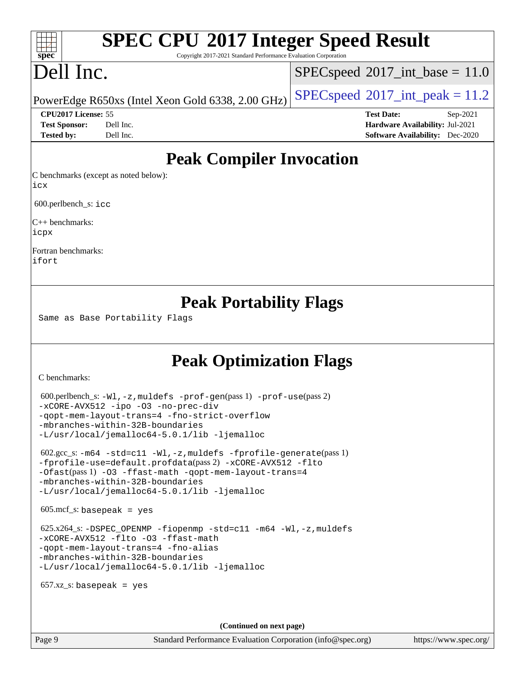# **[SPEC CPU](http://www.spec.org/auto/cpu2017/Docs/result-fields.html#SPECCPU2017IntegerSpeedResult)[2017 Integer Speed Result](http://www.spec.org/auto/cpu2017/Docs/result-fields.html#SPECCPU2017IntegerSpeedResult)**

Copyright 2017-2021 Standard Performance Evaluation Corporation

# Dell Inc.

**[spec](http://www.spec.org/)**

 $+\ +$ 

 $SPECspeed^{\circ}2017\_int\_base = 11.0$  $SPECspeed^{\circ}2017\_int\_base = 11.0$ 

PowerEdge R650xs (Intel Xeon Gold 6338, 2.00 GHz)  $\left|$  [SPECspeed](http://www.spec.org/auto/cpu2017/Docs/result-fields.html#SPECspeed2017intpeak)®[2017\\_int\\_peak = 1](http://www.spec.org/auto/cpu2017/Docs/result-fields.html#SPECspeed2017intpeak)1.2

**[CPU2017 License:](http://www.spec.org/auto/cpu2017/Docs/result-fields.html#CPU2017License)** 55 **[Test Date:](http://www.spec.org/auto/cpu2017/Docs/result-fields.html#TestDate)** Sep-2021 **[Test Sponsor:](http://www.spec.org/auto/cpu2017/Docs/result-fields.html#TestSponsor)** Dell Inc. **[Hardware Availability:](http://www.spec.org/auto/cpu2017/Docs/result-fields.html#HardwareAvailability)** Jul-2021 **[Tested by:](http://www.spec.org/auto/cpu2017/Docs/result-fields.html#Testedby)** Dell Inc. **[Software Availability:](http://www.spec.org/auto/cpu2017/Docs/result-fields.html#SoftwareAvailability)** Dec-2020

### **[Peak Compiler Invocation](http://www.spec.org/auto/cpu2017/Docs/result-fields.html#PeakCompilerInvocation)**

[C benchmarks \(except as noted below\):](http://www.spec.org/auto/cpu2017/Docs/result-fields.html#Cbenchmarksexceptasnotedbelow) [icx](http://www.spec.org/cpu2017/results/res2021q4/cpu2017-20211025-29796.flags.html#user_CCpeak_intel_icx_fe2d28d19ae2a5db7c42fe0f2a2aed77cb715edd4aeb23434404a8be6683fe239869bb6ca8154ca98265c2e3b9226a719a0efe2953a4a7018c379b7010ccf087)

600.perlbench\_s: [icc](http://www.spec.org/cpu2017/results/res2021q4/cpu2017-20211025-29796.flags.html#user_peakCCLD600_perlbench_s_intel_icc_66fc1ee009f7361af1fbd72ca7dcefbb700085f36577c54f309893dd4ec40d12360134090235512931783d35fd58c0460139e722d5067c5574d8eaf2b3e37e92)

[C++ benchmarks](http://www.spec.org/auto/cpu2017/Docs/result-fields.html#CXXbenchmarks): [icpx](http://www.spec.org/cpu2017/results/res2021q4/cpu2017-20211025-29796.flags.html#user_CXXpeak_intel_icpx_1e918ed14c436bf4b9b7c8bcdd51d4539fc71b3df010bd1e9f8732d9c34c2b2914e48204a846820f3c0ebb4095dea797a5c30b458ac0b6dffac65d78f781f5ca)

[Fortran benchmarks:](http://www.spec.org/auto/cpu2017/Docs/result-fields.html#Fortranbenchmarks) [ifort](http://www.spec.org/cpu2017/results/res2021q4/cpu2017-20211025-29796.flags.html#user_FCpeak_intel_ifort_8111460550e3ca792625aed983ce982f94888b8b503583aa7ba2b8303487b4d8a21a13e7191a45c5fd58ff318f48f9492884d4413fa793fd88dd292cad7027ca)

### **[Peak Portability Flags](http://www.spec.org/auto/cpu2017/Docs/result-fields.html#PeakPortabilityFlags)**

Same as Base Portability Flags

### **[Peak Optimization Flags](http://www.spec.org/auto/cpu2017/Docs/result-fields.html#PeakOptimizationFlags)**

[C benchmarks](http://www.spec.org/auto/cpu2017/Docs/result-fields.html#Cbenchmarks):

```
 600.perlbench_s: -Wl,-z,muldefs -prof-gen(pass 1) -prof-use(pass 2)
-xCORE-AVX512 -ipo -O3 -no-prec-div
-qopt-mem-layout-trans=4 -fno-strict-overflow
-mbranches-within-32B-boundaries
-L/usr/local/jemalloc64-5.0.1/lib -ljemalloc
 602.gcc_s: -m64 -std=c11 -Wl,-z,muldefs -fprofile-generate(pass 1)
-fprofile-use=default.profdata(pass 2) -xCORE-AVX512 -flto
-Ofast(pass 1) -O3 -ffast-math -qopt-mem-layout-trans=4
-mbranches-within-32B-boundaries
-L/usr/local/jemalloc64-5.0.1/lib -ljemalloc
605 \text{.mcf}\text{-}\mathrm{s}: basepeak = yes
625.x264-fiopenmp-std=c11-m64-Wl,-z,muldefs
-xCORE-AVX512 -flto -O3 -ffast-math
-qopt-mem-layout-trans=4 -fno-alias
-mbranches-within-32B-boundaries
-L/usr/local/jemalloc64-5.0.1/lib -ljemalloc
657.xz s: basepeak = yes
                                     (Continued on next page)
```